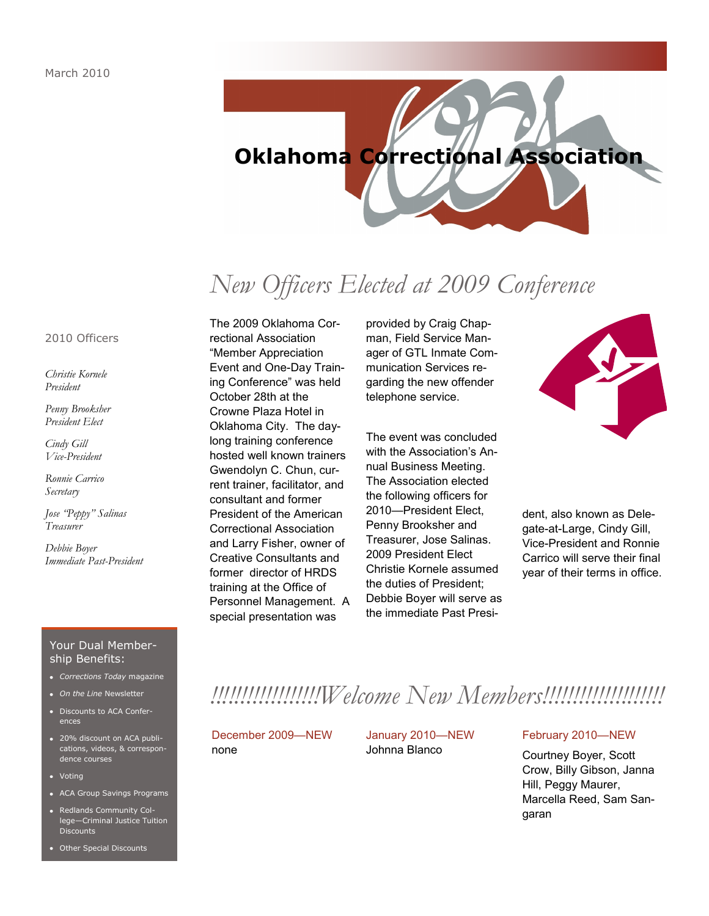

# *New Officers Elected at 2009 Conference*

## 2010 Officers

*Christie Kornele President*

*Penny Brooksher President Elect*

*Cindy Gill Vice-President*

*Ronnie Carrico Secretary*

*Jose "Peppy" Salinas Treasurer*

*Debbie Boyer Immediate Past-President* The 2009 Oklahoma Correctional Association ―Member Appreciation Event and One-Day Training Conference" was held October 28th at the Crowne Plaza Hotel in Oklahoma City. The daylong training conference hosted well known trainers Gwendolyn C. Chun, current trainer, facilitator, and consultant and former President of the American Correctional Association and Larry Fisher, owner of Creative Consultants and former director of HRDS training at the Office of Personnel Management. A special presentation was

provided by Craig Chapman, Field Service Manager of GTL Inmate Communication Services regarding the new offender telephone service.

The event was concluded with the Association's Annual Business Meeting. The Association elected the following officers for 2010—President Elect, Penny Brooksher and Treasurer, Jose Salinas. 2009 President Elect Christie Kornele assumed the duties of President; Debbie Boyer will serve as the immediate Past Presi-



dent, also known as Delegate-at-Large, Cindy Gill, Vice-President and Ronnie Carrico will serve their final year of their terms in office.

## Your Dual Membership Benefits:

- *Corrections Today* magazine
- *On the Line* Newsletter
- Discounts to ACA Conferences
- 20% discount on ACA publications, videos, & correspondence courses
- Votina
- ACA Group Savings Programs
- Redlands Community College—Criminal Justice Tuition **Discounts**
- Other Special Discounts

# *!!!!!!!!!!!!!!!!!!Welcome New Members!!!!!!!!!!!!!!!!!!!!*

## December 2009—NEW none

January 2010—NEW Johnna Blanco

## February 2010—NEW

Courtney Boyer, Scott Crow, Billy Gibson, Janna Hill, Peggy Maurer, Marcella Reed, Sam Sangaran